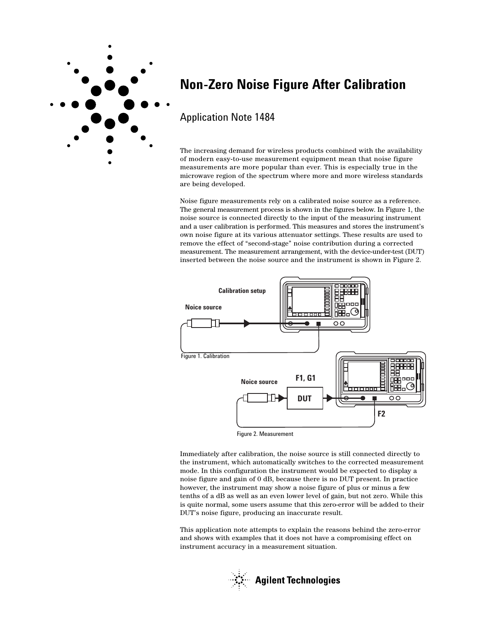

# **Non-Zero Noise Figure After Calibration**

## Application Note 1484

The increasing demand for wireless products combined with the availability of modern easy-to-use measurement equipment mean that noise figure measurements are more popular than ever. This is especially true in the microwave region of the spectrum where more and more wireless standards are being developed.

Noise figure measurements rely on a calibrated noise source as a reference. The general measurement process is shown in the figures below. In Figure 1, the noise source is connected directly to the input of the measuring instrument and a user calibration is performed. This measures and stores the instrument's own noise figure at its various attenuator settings. These results are used to remove the effect of "second-stage" noise contribution during a corrected measurement. The measurement arrangement, with the device-under-test (DUT) inserted between the noise source and the instrument is shown in Figure 2.



Figure 2. Measurement

Immediately after calibration, the noise source is still connected directly to the instrument, which automatically switches to the corrected measurement mode. In this configuration the instrument would be expected to display a noise figure and gain of 0 dB, because there is no DUT present. In practice however, the instrument may show a noise figure of plus or minus a few tenths of a dB as well as an even lower level of gain, but not zero. While this is quite normal, some users assume that this zero-error will be added to their DUT's noise figure, producing an inaccurate result.

This application note attempts to explain the reasons behind the zero-error and shows with examples that it does not have a compromising effect on instrument accuracy in a measurement situation.

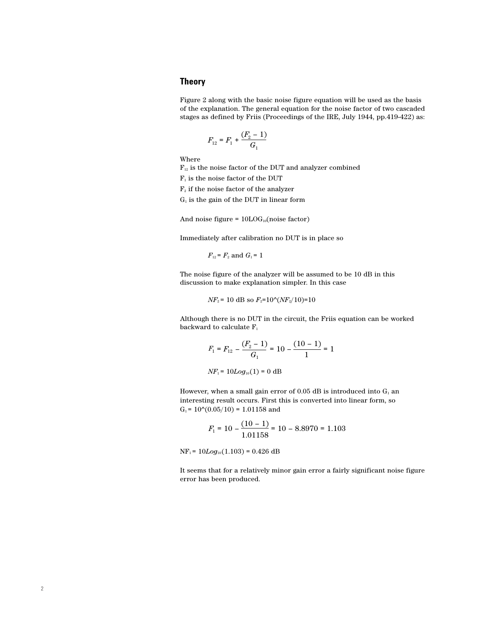## **Theory**

Figure 2 along with the basic noise figure equation will be used as the basis of the explanation. The general equation for the noise factor of two cascaded stages as defined by Friis (Proceedings of the IRE, July 1944, pp.419-422) as:

$$
F_{12} = F_1 + \frac{(F_2 - 1)}{G_1}
$$

Where

 $F_{12}$  is the noise factor of the DUT and analyzer combined

 $\mathrm{F}_1$  is the noise factor of the DUT

 $F<sub>2</sub>$  if the noise factor of the analyzer

 $G_1$  is the gain of the DUT in linear form

And noise figure =  $10LOG_{10}(noise factor)$ 

Immediately after calibration no DUT is in place so

$$
F_{12} = F_2
$$
 and  $G_1 = 1$ 

The noise figure of the analyzer will be assumed to be 10 dB in this discussion to make explanation simpler. In this case

 $NF_2$  = 10 dB so  $F_2$ =10^( $NF_2/10$ )=10

Although there is no DUT in the circuit, the Friis equation can be worked backward to calculate  $F_1$ 

$$
F_1 = F_{12} - \frac{(F_2 - 1)}{G_1} = 10 - \frac{(10 - 1)}{1} = 1
$$

 $NF_1 = 10Log_{10}(1) = 0$  dB

However, when a small gain error of 0.05 dB is introduced into  $G_1$  an interesting result occurs. First this is converted into linear form, so  $G_1 = 10^{\circ}(0.05/10) = 1.01158$  and

$$
F_1 = 10 - \frac{(10 - 1)}{1.01158} = 10 - 8.8970 = 1.103
$$

 $NF_1 = 10Log_{10}(1.103) = 0.426 dB$ 

It seems that for a relatively minor gain error a fairly significant noise figure error has been produced.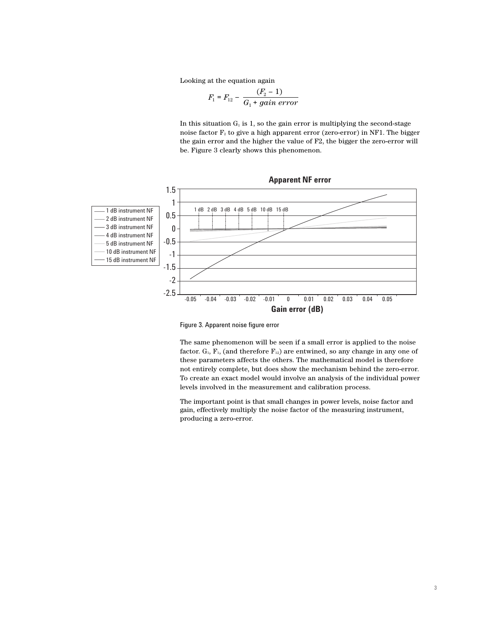Looking at the equation again

$$
F_1 = F_{12} - \frac{(F_2 - 1)}{G_1 + gain\ error}
$$

In this situation  $G_1$  is 1, so the gain error is multiplying the second-stage noise factor  $F_2$  to give a high apparent error (zero-error) in NF1. The bigger the gain error and the higher the value of F2, the bigger the zero-error will be. Figure 3 clearly shows this phenomenon.



Figure 3. Apparent noise figure error

The same phenomenon will be seen if a small error is applied to the noise factor.  $G_1$ ,  $F_1$ , (and therefore  $F_{12}$ ) are entwined, so any change in any one of these parameters affects the others. The mathematical model is therefore not entirely complete, but does show the mechanism behind the zero-error. To create an exact model would involve an analysis of the individual power levels involved in the measurement and calibration process.

The important point is that small changes in power levels, noise factor and gain, effectively multiply the noise factor of the measuring instrument, producing a zero-error.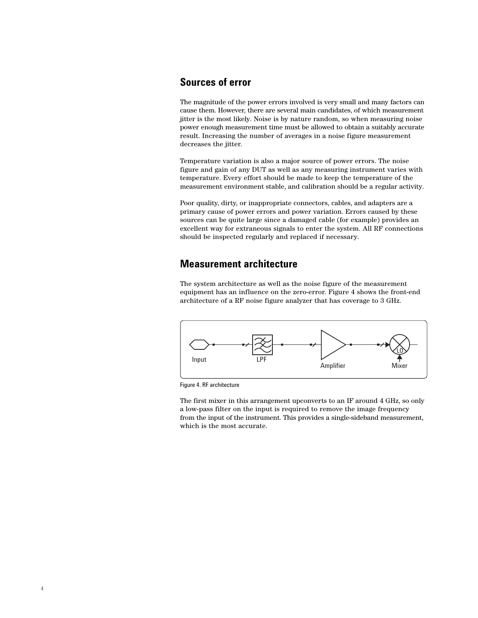## **Sources of error**

The magnitude of the power errors involved is very small and many factors can cause them. However, there are several main candidates, of which measurement jitter is the most likely. Noise is by nature random, so when measuring noise power enough measurement time must be allowed to obtain a suitably accurate result. Increasing the number of averages in a noise figure measurement decreases the jitter.

Temperature variation is also a major source of power errors. The noise figure and gain of any DUT as well as any measuring instrument varies with temperature. Every effort should be made to keep the temperature of the measurement environment stable, and calibration should be a regular activity.

Poor quality, dirty, or inappropriate connectors, cables, and adapters are a primary cause of power errors and power variation. Errors caused by these sources can be quite large since a damaged cable (for example) provides an excellent way for extraneous signals to enter the system. All RF connections should be inspected regularly and replaced if necessary.

## **Measurement architecture**

The system architecture as well as the noise figure of the measurement equipment has an influence on the zero-error. Figure 4 shows the front-end architecture of a RF noise figure analyzer that has coverage to 3 GHz.



Figure 4. RF architecture

The first mixer in this arrangement upconverts to an IF around 4 GHz, so only a low-pass filter on the input is required to remove the image frequency from the input of the instrument. This provides a single-sideband measurement, which is the most accurate.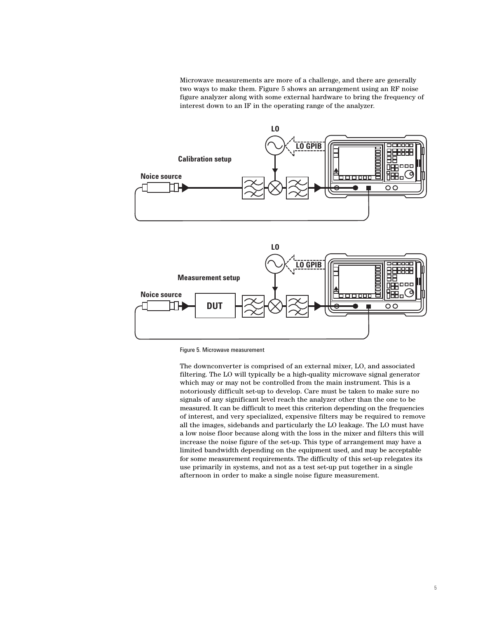Microwave measurements are more of a challenge, and there are generally two ways to make them. Figure 5 shows an arrangement using an RF noise figure analyzer along with some external hardware to bring the frequency of interest down to an IF in the operating range of the analyzer.





Figure 5. Microwave measurement

The downconverter is comprised of an external mixer, LO, and associated filtering. The LO will typically be a high-quality microwave signal generator which may or may not be controlled from the main instrument. This is a notoriously difficult set-up to develop. Care must be taken to make sure no signals of any significant level reach the analyzer other than the one to be measured. It can be difficult to meet this criterion depending on the frequencies of interest, and very specialized, expensive filters may be required to remove all the images, sidebands and particularly the LO leakage. The LO must have a low noise floor because along with the loss in the mixer and filters this will increase the noise figure of the set-up. This type of arrangement may have a limited bandwidth depending on the equipment used, and may be acceptable for some measurement requirements. The difficulty of this set-up relegates its use primarily in systems, and not as a test set-up put together in a single afternoon in order to make a single noise figure measurement.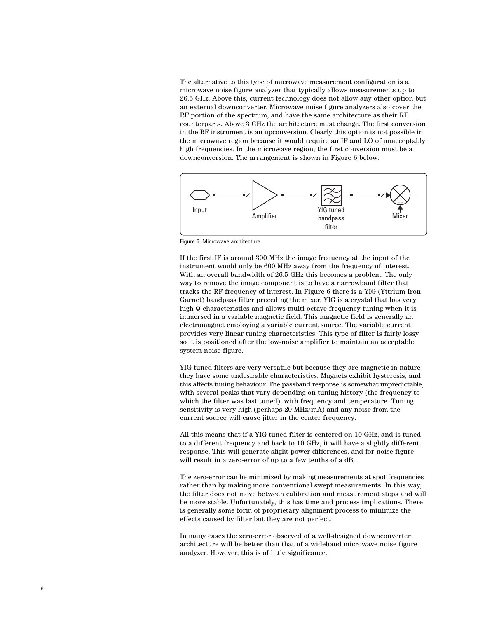The alternative to this type of microwave measurement configuration is a microwave noise figure analyzer that typically allows measurements up to 26.5 GHz. Above this, current technology does not allow any other option but an external downconverter. Microwave noise figure analyzers also cover the RF portion of the spectrum, and have the same architecture as their RF counterparts. Above 3 GHz the architecture must change. The first conversion in the RF instrument is an upconversion. Clearly this option is not possible in the microwave region because it would require an IF and LO of unacceptably high frequencies. In the microwave region, the first conversion must be a downconversion. The arrangement is shown in Figure 6 below.



Figure 6. Microwave architecture

If the first IF is around 300 MHz the image frequency at the input of the instrument would only be 600 MHz away from the frequency of interest. With an overall bandwidth of 26.5 GHz this becomes a problem. The only way to remove the image component is to have a narrowband filter that tracks the RF frequency of interest. In Figure 6 there is a YIG (Yttrium Iron Garnet) bandpass filter preceding the mixer. YIG is a crystal that has very high Q characteristics and allows multi-octave frequency tuning when it is immersed in a variable magnetic field. This magnetic field is generally an electromagnet employing a variable current source. The variable current provides very linear tuning characteristics. This type of filter is fairly lossy so it is positioned after the low-noise amplifier to maintain an acceptable system noise figure.

YIG-tuned filters are very versatile but because they are magnetic in nature they have some undesirable characteristics. Magnets exhibit hysteresis, and this affects tuning behaviour. The passband response is somewhat unpredictable, with several peaks that vary depending on tuning history (the frequency to which the filter was last tuned), with frequency and temperature. Tuning sensitivity is very high (perhaps 20 MHz/mA) and any noise from the current source will cause jitter in the center frequency.

All this means that if a YIG-tuned filter is centered on 10 GHz, and is tuned to a different frequency and back to 10 GHz, it will have a slightly different response. This will generate slight power differences, and for noise figure will result in a zero-error of up to a few tenths of a dB.

The zero-error can be minimized by making measurements at spot frequencies rather than by making more conventional swept measurements. In this way, the filter does not move between calibration and measurement steps and will be more stable. Unfortunately, this has time and process implications. There is generally some form of proprietary alignment process to minimize the effects caused by filter but they are not perfect.

In many cases the zero-error observed of a well-designed downconverter architecture will be better than that of a wideband microwave noise figure analyzer. However, this is of little significance.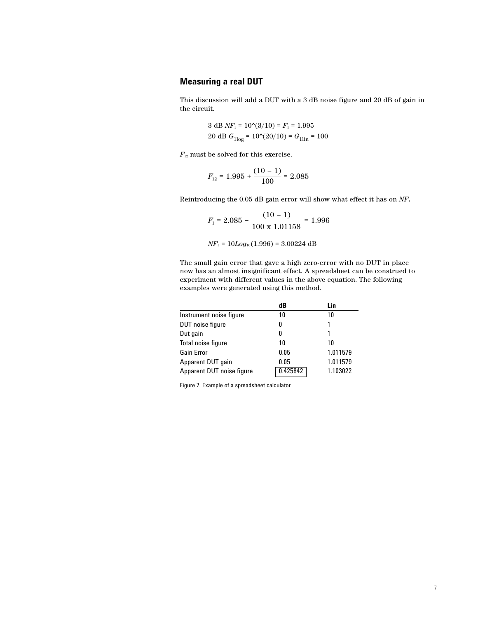## **Measuring a real DUT**

This discussion will add a DUT with a 3 dB noise figure and 20 dB of gain in the circuit.

> $3 dB \, NF_1 = 10^{\circ}(3/10) = F_1 = 1.995$ 20 dB  $G_{1\text{log}} = 10^{\text{A}}(20/10) = G_{1\text{lin}} = 100$

 $F_{\rm ^{12}}$  must be solved for this exercise.

$$
F_{12} = 1.995 + \frac{(10-1)}{100} = 2.085
$$

Reintroducing the 0.05 dB gain error will show what effect it has on *NF*<sup>1</sup>

$$
F_1 = 2.085 - \frac{(10 - 1)}{100 \times 1.01158} = 1.996
$$

*NF*<sub>1</sub> = 10*Log*<sub>10</sub>(1.996) = 3.00224 dB

The small gain error that gave a high zero-error with no DUT in place now has an almost insignificant effect. A spreadsheet can be construed to experiment with different values in the above equation. The following examples were generated using this method.

|                           | dB       | Lin      |
|---------------------------|----------|----------|
| Instrument noise figure   | 10       | 10       |
| DUT noise figure          | 0        | 1        |
| Dut gain                  | 0        | 1        |
| Total noise figure        | 10       | 10       |
| Gain Error                | 0.05     | 1.011579 |
| Apparent DUT gain         | 0.05     | 1.011579 |
| Apparent DUT noise figure | 0.425842 | 1.103022 |

Figure 7. Example of a spreadsheet calculator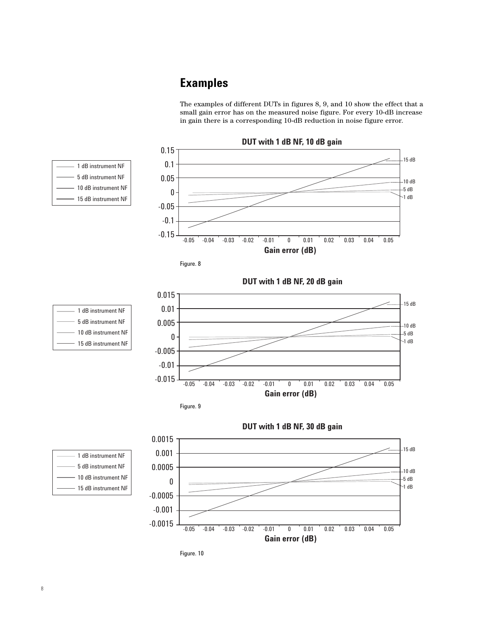# **Examples**

The examples of different DUTs in figures 8, 9, and 10 show the effect that a small gain error has on the measured noise figure. For every 10-dB increase in gain there is a corresponding 10-dB reduction in noise figure error.

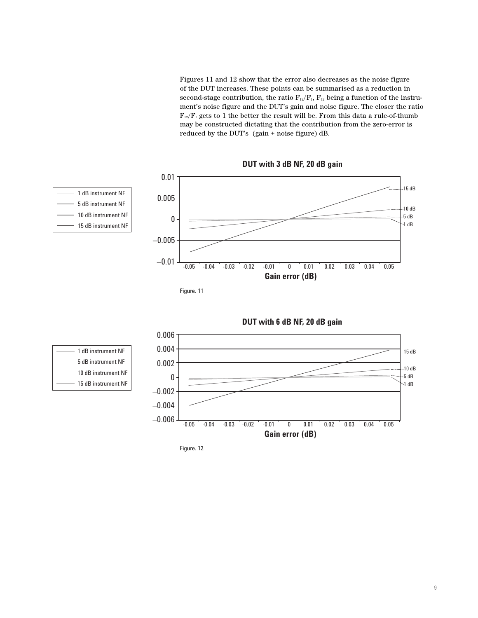Figures 11 and 12 show that the error also decreases as the noise figure of the DUT increases. These points can be summarised as a reduction in second-stage contribution, the ratio  $F_{12}/F_1$ ,  $F_{12}$  being a function of the instrument's noise figure and the DUT's gain and noise figure. The closer the ratio  $F_{12}/F_1$  gets to 1 the better the result will be. From this data a rule-of-thumb may be constructed dictating that the contribution from the zero-error is reduced by the DUT's (gain + noise figure) dB.











1 dB instrument NF 5 dB instrument NF 10 dB instrument NF 15 dB instrument NF

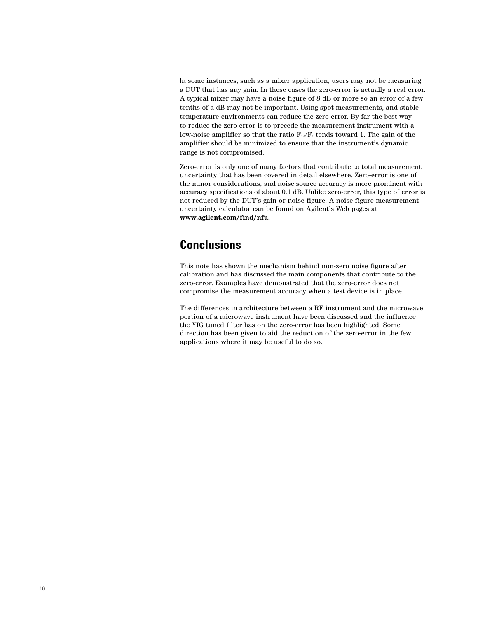In some instances, such as a mixer application, users may not be measuring a DUT that has any gain. In these cases the zero-error is actually a real error. A typical mixer may have a noise figure of 8 dB or more so an error of a few tenths of a dB may not be important. Using spot measurements, and stable temperature environments can reduce the zero-error. By far the best way to reduce the zero-error is to precede the measurement instrument with a low-noise amplifier so that the ratio  $F_{12}/F_1$  tends toward 1. The gain of the amplifier should be minimized to ensure that the instrument's dynamic range is not compromised.

Zero-error is only one of many factors that contribute to total measurement uncertainty that has been covered in detail elsewhere. Zero-error is one of the minor considerations, and noise source accuracy is more prominent with accuracy specifications of about 0.1 dB. Unlike zero-error, this type of error is not reduced by the DUT's gain or noise figure. A noise figure measurement uncertainty calculator can be found on Agilent's Web pages at **www.agilent.com/find/nfu.**

# **Conclusions**

This note has shown the mechanism behind non-zero noise figure after calibration and has discussed the main components that contribute to the zero-error. Examples have demonstrated that the zero-error does not compromise the measurement accuracy when a test device is in place.

The differences in architecture between a RF instrument and the microwave portion of a microwave instrument have been discussed and the influence the YIG tuned filter has on the zero-error has been highlighted. Some direction has been given to aid the reduction of the zero-error in the few applications where it may be useful to do so.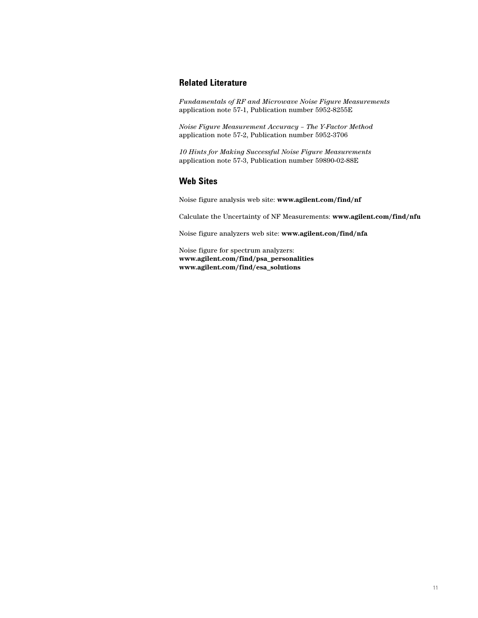## **Related Literature**

*Fundamentals of RF and Microwave Noise Figure Measurements* application note 57-1, Publication number 5952-8255E

*Noise Figure Measurement Accuracy – The Y-Factor Method* application note 57-2, Publication number 5952-3706

*10 Hints for Making Successful Noise Figure Measurements* application note 57-3, Publication number 59890-02-88E

## **Web Sites**

Noise figure analysis web site: **www.agilent.com/find/nf**

Calculate the Uncertainty of NF Measurements: **www.agilent.com/find/nfu**

Noise figure analyzers web site: **www.agilent.con/find/nfa**

Noise figure for spectrum analyzers: **www.agilent.com/find/psa\_personalities www.agilent.com/find/esa\_solutions**